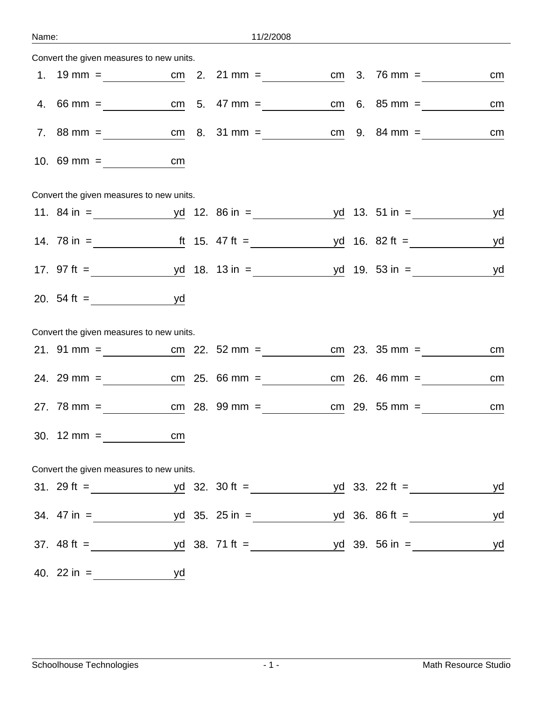| Name: |                        | <u> 1980 - Johann Barbara, martxa eta politikar</u> | 11/2/2008        |  |    |
|-------|------------------------|-----------------------------------------------------|------------------|--|----|
|       |                        | Convert the given measures to new units.            |                  |  |    |
|       |                        |                                                     |                  |  | cm |
|       |                        |                                                     |                  |  | cm |
|       |                        |                                                     |                  |  | cm |
|       |                        | cm <sub>2</sub>                                     |                  |  |    |
|       |                        | Convert the given measures to new units.            |                  |  |    |
|       |                        |                                                     |                  |  | yd |
|       |                        |                                                     |                  |  | yd |
|       |                        |                                                     |                  |  | yd |
|       |                        | 20. $54 \text{ ft} =$ yd                            |                  |  |    |
|       |                        | Convert the given measures to new units.            |                  |  |    |
|       |                        |                                                     |                  |  | cm |
|       |                        | 24. 29 mm = cm 25. 66 mm = cm 26. 46 mm =           |                  |  | cm |
|       |                        |                                                     |                  |  | cm |
|       |                        | 30. $12 \text{ mm} = \text{ cm}$                    |                  |  |    |
|       |                        | Convert the given measures to new units.            |                  |  |    |
|       |                        |                                                     |                  |  | yd |
|       |                        | 34. 47 in = $yd$ 35. 25 in = $yd$ 36. 86 ft =       |                  |  | yd |
|       |                        |                                                     |                  |  | yd |
|       | 40. $22 \text{ in } =$ |                                                     | yd i brening y d |  |    |